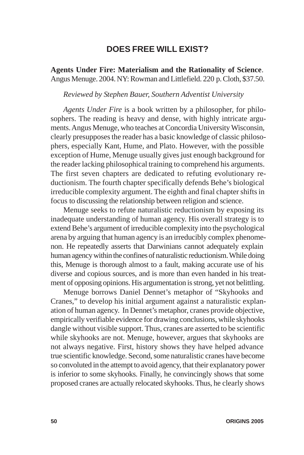## **DOES FREE WILL EXIST?**

**Agents Under Fire: Materialism and the Rationality of Science**. Angus Menuge. 2004. NY: Rowman and Littlefield. 220 p. Cloth, \$37.50.

## *Reviewed by Stephen Bauer, Southern Adventist University*

*Agents Under Fire* is a book written by a philosopher, for philosophers. The reading is heavy and dense, with highly intricate arguments. Angus Menuge, who teaches at Concordia University Wisconsin, clearly presupposes the reader has a basic knowledge of classic philosophers, especially Kant, Hume, and Plato. However, with the possible exception of Hume, Menuge usually gives just enough background for the reader lacking philosophical training to comprehend his arguments. The first seven chapters are dedicated to refuting evolutionary reductionism. The fourth chapter specifically defends Behe's biological irreducible complexity argument. The eighth and final chapter shifts in focus to discussing the relationship between religion and science.

Menuge seeks to refute naturalistic reductionism by exposing its inadequate understanding of human agency. His overall strategy is to extend Behe's argument of irreducible complexity into the psychological arena by arguing that human agency is an irreducibly complex phenomenon. He repeatedly asserts that Darwinians cannot adequately explain human agency within the confines of naturalistic reductionism. While doing this, Menuge is thorough almost to a fault, making accurate use of his diverse and copious sources, and is more than even handed in his treatment of opposing opinions. His argumentation is strong, yet not belittling.

Menuge borrows Daniel Dennet's metaphor of "Skyhooks and Cranes," to develop his initial argument against a naturalistic explanation of human agency. In Dennet's metaphor, cranes provide objective, empirically verifiable evidence for drawing conclusions, while skyhooks dangle without visible support. Thus, cranes are asserted to be scientific while skyhooks are not. Menuge, however, argues that skyhooks are not always negative. First, history shows they have helped advance true scientific knowledge. Second, some naturalistic cranes have become so convoluted in the attempt to avoid agency, that their explanatory power is inferior to some skyhooks. Finally, he convincingly shows that some proposed cranes are actually relocated skyhooks. Thus, he clearly shows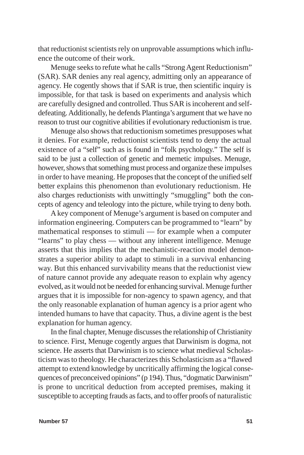that reductionist scientists rely on unprovable assumptions which influence the outcome of their work.

Menuge seeks to refute what he calls "Strong Agent Reductionism" (SAR). SAR denies any real agency, admitting only an appearance of agency. He cogently shows that if SAR is true, then scientific inquiry is impossible, for that task is based on experiments and analysis which are carefully designed and controlled. Thus SAR is incoherent and selfdefeating. Additionally, he defends Plantinga's argument that we have no reason to trust our cognitive abilities if evolutionary reductionism is true.

Menuge also shows that reductionism sometimes presupposes what it denies. For example, reductionist scientists tend to deny the actual existence of a "self" such as is found in "folk psychology." The self is said to be just a collection of genetic and memetic impulses. Menuge, however, shows that something must process and organize these impulses in order to have meaning. He proposes that the concept of the unified self better explains this phenomenon than evolutionary reductionism. He also charges reductionists with unwittingly "smuggling" both the concepts of agency and teleology into the picture, while trying to deny both.

A key component of Menuge's argument is based on computer and information engineering. Computers can be programmed to "learn" by mathematical responses to stimuli — for example when a computer "learns" to play chess — without any inherent intelligence. Menuge asserts that this implies that the mechanistic-reaction model demonstrates a superior ability to adapt to stimuli in a survival enhancing way. But this enhanced survivability means that the reductionist view of nature cannot provide any adequate reason to explain why agency evolved, as it would not be needed for enhancing survival. Menuge further argues that it is impossible for non-agency to spawn agency, and that the only reasonable explanation of human agency is a prior agent who intended humans to have that capacity. Thus, a divine agent is the best explanation for human agency.

In the final chapter, Menuge discusses the relationship of Christianity to science. First, Menuge cogently argues that Darwinism is dogma, not science. He asserts that Darwinism is to science what medieval Scholasticism was to theology. He characterizes this Scholasticism as a "flawed attempt to extend knowledge by uncritically affirming the logical consequences of preconceived opinions" (p 194). Thus, "dogmatic Darwinism" is prone to uncritical deduction from accepted premises, making it susceptible to accepting frauds as facts, and to offer proofs of naturalistic